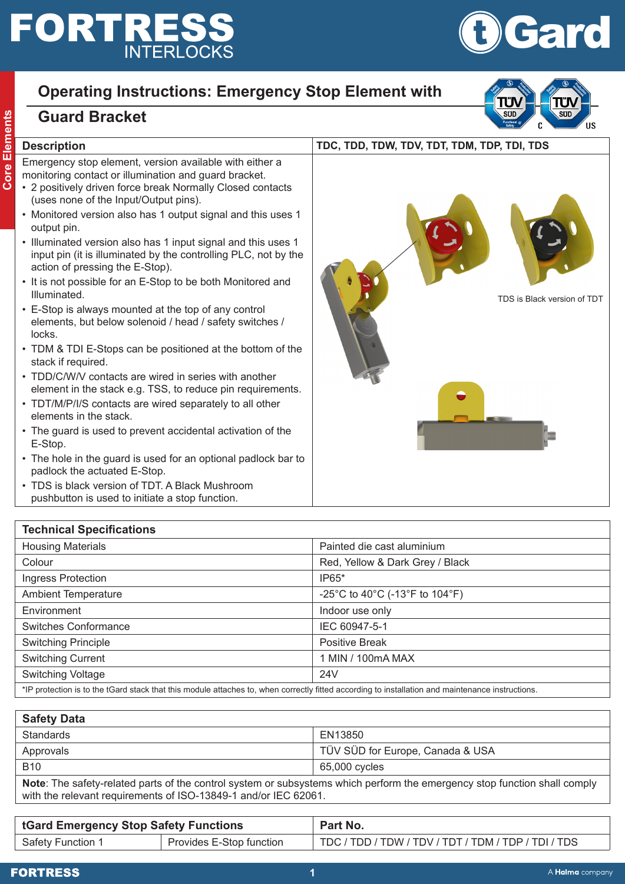# **FORTRESS**

## **Operating Instructions: Emergency Stop Element with**

### **Guard Bracket**

#### **Description TDC, TDD, TDW, TDV, TDT, TDM, TDP, TDI, TDS**

**Core Elements**

Core Elements

Emergency stop element, version available with either a monitoring contact or illumination and guard bracket.

- 2 positively driven force break Normally Closed contacts (uses none of the Input/Output pins).
- Monitored version also has 1 output signal and this uses 1 output pin.
- Illuminated version also has 1 input signal and this uses 1 input pin (it is illuminated by the controlling PLC, not by the action of pressing the E-Stop).
- It is not possible for an E-Stop to be both Monitored and Illuminated.
- E-Stop is always mounted at the top of any control elements, but below solenoid / head / safety switches / locks.
- TDM & TDI E-Stops can be positioned at the bottom of the stack if required.
- TDD/C/W/V contacts are wired in series with another element in the stack e.g. TSS, to reduce pin requirements.
- TDT/M/P/I/S contacts are wired separately to all other elements in the stack.
- The guard is used to prevent accidental activation of the E-Stop.
- The hole in the guard is used for an optional padlock bar to padlock the actuated E-Stop.
- TDS is black version of TDT. A Black Mushroom pushbutton is used to initiate a stop function.

**Technical Specifications**





| <b>Safety Data</b>                                                                                                                                                                           |                                  |  |
|----------------------------------------------------------------------------------------------------------------------------------------------------------------------------------------------|----------------------------------|--|
| Standards                                                                                                                                                                                    | EN13850                          |  |
| Approvals                                                                                                                                                                                    | TÜV SÜD for Europe, Canada & USA |  |
| B <sub>10</sub>                                                                                                                                                                              | 65,000 cycles                    |  |
| Note: The safety-related parts of the control system or subsystems which perform the emergency stop function shall comply<br>with the relevant requirements of ISO-13849-1 and/or IEC 62061. |                                  |  |

| <b>tGard Emergency Stop Safety Functions</b> |                          | Part No.                                            |
|----------------------------------------------|--------------------------|-----------------------------------------------------|
| Safety Function 1                            | Provides E-Stop function | TDC / TDD / TDW / TDV / TDT / TDM / TDP / TDI / TDS |







TDS is Black version of TDT

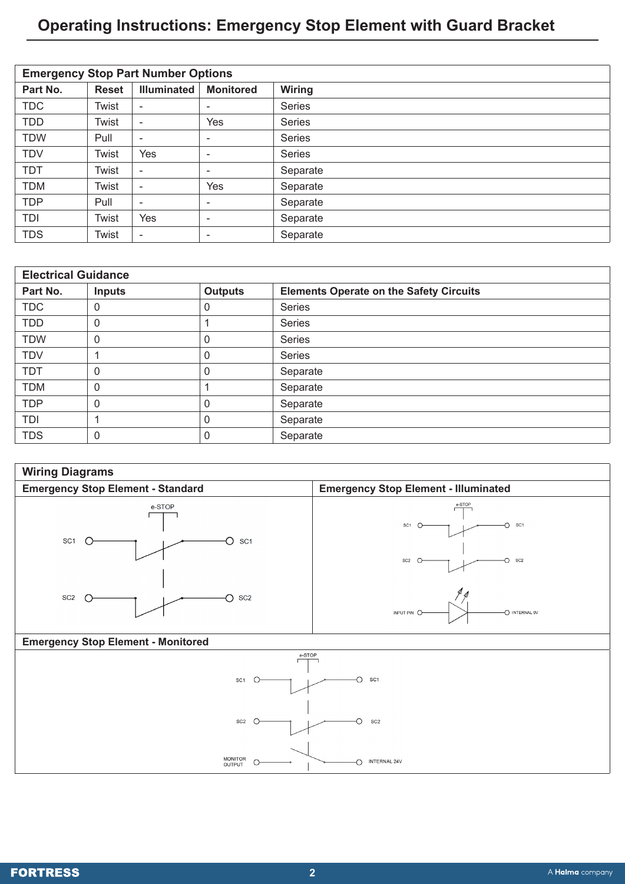## **Operating Instructions: Emergency Stop Element with Guard Bracket**

| <b>Emergency Stop Part Number Options</b> |              |                          |                          |               |
|-------------------------------------------|--------------|--------------------------|--------------------------|---------------|
| Part No.                                  | <b>Reset</b> | <b>Illuminated</b>       | <b>Monitored</b>         | <b>Wiring</b> |
| <b>TDC</b>                                | Twist        | $\sim$                   | ۰                        | <b>Series</b> |
| <b>TDD</b>                                | Twist        | $\overline{\phantom{0}}$ | Yes                      | <b>Series</b> |
| <b>TDW</b>                                | Pull         | $\overline{a}$           | ۰                        | <b>Series</b> |
| <b>TDV</b>                                | Twist        | Yes                      | $\overline{\phantom{0}}$ | <b>Series</b> |
| <b>TDT</b>                                | Twist        | $\overline{\phantom{a}}$ | ۰                        | Separate      |
| <b>TDM</b>                                | Twist        | $\overline{a}$           | Yes                      | Separate      |
| <b>TDP</b>                                | Pull         | $\overline{a}$           | ۰                        | Separate      |
| TDI                                       | Twist        | Yes                      | ۰                        | Separate      |
| <b>TDS</b>                                | Twist        | $\overline{\phantom{0}}$ | ٠                        | Separate      |

| <b>Electrical Guidance</b> |               |                |                                                |  |
|----------------------------|---------------|----------------|------------------------------------------------|--|
| Part No.                   | <b>Inputs</b> | <b>Outputs</b> | <b>Elements Operate on the Safety Circuits</b> |  |
| <b>TDC</b>                 | 0             |                | <b>Series</b>                                  |  |
| <b>TDD</b>                 | 0             |                | Series                                         |  |
| <b>TDW</b>                 | 0             | 0              | <b>Series</b>                                  |  |
| <b>TDV</b>                 |               | 0              | Series                                         |  |
| <b>TDT</b>                 | 0             | 0              | Separate                                       |  |
| <b>TDM</b>                 | 0             |                | Separate                                       |  |
| <b>TDP</b>                 | 0             |                | Separate                                       |  |
| TDI                        |               |                | Separate                                       |  |
| <b>TDS</b>                 | 0             | 0              | Separate                                       |  |